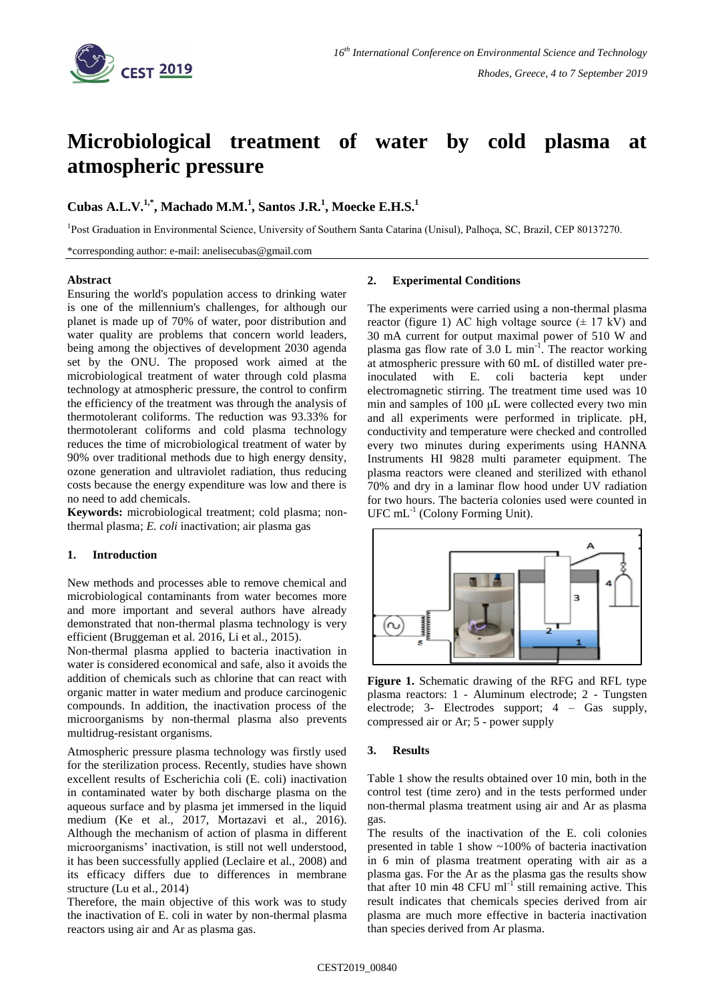

# **Microbiological treatment of water by cold plasma at atmospheric pressure**

# **Cubas A.L.V.1,\* , Machado M.M.<sup>1</sup> , Santos J.R.<sup>1</sup> , Moecke E.H.S. 1**

<sup>1</sup>Post Graduation in Environmental Science, University of Southern Santa Catarina (Unisul), Palhoça, SC, Brazil, CEP 80137270.

\*corresponding author: e-mail: anelisecubas@gmail.com

### **Abstract**

Ensuring the world's population access to drinking water is one of the millennium's challenges, for although our planet is made up of 70% of water, poor distribution and water quality are problems that concern world leaders, being among the objectives of development 2030 agenda set by the ONU. The proposed work aimed at the microbiological treatment of water through cold plasma technology at atmospheric pressure, the control to confirm the efficiency of the treatment was through the analysis of thermotolerant coliforms. The reduction was 93.33% for thermotolerant coliforms and cold plasma technology reduces the time of microbiological treatment of water by 90% over traditional methods due to high energy density, ozone generation and ultraviolet radiation, thus reducing costs because the energy expenditure was low and there is no need to add chemicals.

**Keywords:** microbiological treatment; cold plasma; nonthermal plasma; *E. coli* inactivation; air plasma gas

## **1. Introduction**

New methods and processes able to remove chemical and microbiological contaminants from water becomes more and more important and several authors have already demonstrated that non-thermal plasma technology is very efficient (Bruggeman et al. 2016, Li et al., 2015).

Non-thermal plasma applied to bacteria inactivation in water is considered economical and safe, also it avoids the addition of chemicals such as chlorine that can react with organic matter in water medium and produce carcinogenic compounds. In addition, the inactivation process of the microorganisms by non-thermal plasma also prevents multidrug-resistant organisms.

Atmospheric pressure plasma technology was firstly used for the sterilization process. Recently, studies have shown excellent results of Escherichia coli (E. coli) inactivation in contaminated water by both discharge plasma on the aqueous surface and by plasma jet immersed in the liquid medium (Ke et al., 2017, Mortazavi et al., 2016). Although the mechanism of action of plasma in different microorganisms' inactivation, is still not well understood, it has been successfully applied (Leclaire et al., 2008) and its efficacy differs due to differences in membrane structure (Lu et al., 2014)

Therefore, the main objective of this work was to study the inactivation of E. coli in water by non-thermal plasma reactors using air and Ar as plasma gas.

#### **2. Experimental Conditions**

The experiments were carried using a non-thermal plasma reactor (figure 1) AC high voltage source  $(\pm 17 \text{ kV})$  and 30 mA current for output maximal power of 510 W and plasma gas flow rate of  $3.0 \,$ L min<sup>-1</sup>. The reactor working at atmospheric pressure with 60 mL of distilled water preinoculated with E. coli bacteria kept under electromagnetic stirring. The treatment time used was 10 min and samples of 100 μL were collected every two min and all experiments were performed in triplicate. pH, conductivity and temperature were checked and controlled every two minutes during experiments using HANNA Instruments HI 9828 multi parameter equipment. The plasma reactors were cleaned and sterilized with ethanol 70% and dry in a laminar flow hood under UV radiation for two hours. The bacteria colonies used were counted in  $UFC$  mL<sup>-1</sup> (Colony Forming Unit).



**Figure 1.** Schematic drawing of the RFG and RFL type plasma reactors: 1 - Aluminum electrode; 2 - Tungsten electrode; 3- Electrodes support; 4 – Gas supply, compressed air or Ar; 5 - power supply

#### **3. Results**

Table 1 show the results obtained over 10 min, both in the control test (time zero) and in the tests performed under non-thermal plasma treatment using air and Ar as plasma gas.

The results of the inactivation of the E. coli colonies presented in table 1 show ~100% of bacteria inactivation in 6 min of plasma treatment operating with air as a plasma gas. For the Ar as the plasma gas the results show that after 10 min 48 CFU  $ml^{-1}$  still remaining active. This result indicates that chemicals species derived from air plasma are much more effective in bacteria inactivation than species derived from Ar plasma.